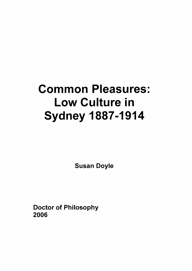# **Common Pleasures: Low Culture in Sydney 1887-1914**

**Susan Doyle**

**Doctor of Philosophy 2006**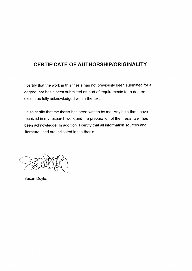### **CERTIFICATE OF AUTHORSHIP/ORIGINALITY**

I certify that the work in this thesis has not previously been submitted for a degree, nor has it been submitted as part of requirements for a degree except as fully acknowledged within the text.

<sup>I</sup> also certify that the thesis has been written by me. Any help that <sup>I</sup> have received in my research work and the preparation of the thesis itself has been acknowledge. In addition, <sup>I</sup> certify that all information sources and literature used are indicated in the thesis.

Susan Doyle.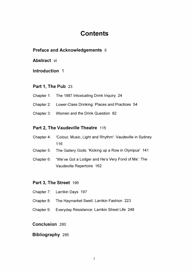## **Contents**

#### **Preface and Acknowledgements ii**

**Abstract vi**

**Introduction <sup>1</sup>**

#### **Part 1, The Pub** 23

- Chapter 1: The 1887 Intoxicating Drink Inquiry 24
- Chapter 2: Lower-Class Drinking: Places and Practices 54
- Chapter 3: Women and the Drink Question 82

#### **Part 2, The Vaudeville Theatre 115**

- Chapter 4: 'Colour, Music, Light and Rhythm': Vaudeville in Sydney 116
- Chapter 5: The Gallery Gods: 'Kicking up a Row in Olympus' 141
- Chapter 6: "We've Got a Lodger and He's Very Fond of Ma': The Vaudeville Repertoire 162

#### **Part 3, The Street** 196

- Chapter 7: Larrikin Days 197
- Chapter 8: The Haymarket Swell: Larrikin Fashion 223
- Chapter 9: Everyday Resistance: Larrikin Street Life 248

#### **Conclusion** 280

#### **Bibliography** 285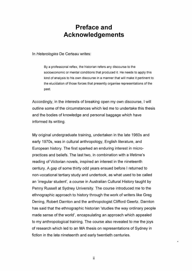## **Preface and Acknowledgements**

In *Heterologies* De Certeau writes:

By a professional reflex, the historian refers any discourse to the socioeconomic or mental conditions that produced it. He needs to apply this kind of analysis to his own discourse in a manner that will make it pertinent to the elucidation of those forces that presently organise representations of the past.

Accordingly, in the interests of breaking open my own discourse, <sup>I</sup> will outline some of the circumstances which led me to undertake this thesis and the bodies of knowledge and personal baggage which have informed its writing.

My original undergraduate training, undertaken in the late 1960s and early 1970s, was in cultural anthropology, English literature, and European history. The first sparked an enduring interest in micropractices and beliefs. The last two, in combination with a lifetime's reading of Victorian novels, inspired an interest in the nineteenth century. A gap of some thirty odd years ensued before <sup>I</sup> returned to non-vocational tertiary study and undertook, as what used to be called an 'irregular student', a course in Australian Cultural History taught by Penny Russell at Sydney University. The course introduced me to the ethnographic approach to history through the work of writers like Greg Dening, Robert Darnton and the anthropologist Clifford Geertz. Darnton has said that the ethnographic historian 'studies the way ordinary people made sense of the world', encapsulating an approach which appealed to my anthropological training. The course also revealed to me the joys of research which led to an MA thesis on representations of Sydney in fiction in the late nineteenth and early twentieth centuries.

ïi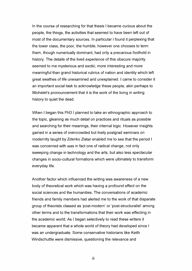In the course of researching for that thesis <sup>I</sup> became curious about the people, the things, the activities that seemed to have been left out of most of the documentary sources. In particular <sup>I</sup> found it perplexing that the lower class, the poor, the humble, however one chooses to term them, though numerically dominant, had only a precarious foothold in history. The details of the lived experience of this obscure majority seemed to me mysterious and exotic, more interesting and more meaningful than grand historical rubrics of nation and identity which left great swathes of life unexamined and unexplained. <sup>I</sup> came to consider it an important social task to acknowledge these people, akin perhaps to Michelet's pronouncement that it is the work of the living in writing history to quiet the dead.

When <sup>I</sup> began this PhD <sup>I</sup> planned to take an ethnographic approach to the topic, gleaning as much detail on practices and rituals as possible and searching for their meanings, their internal logic. However insights gained in a series of overcrowded but lively postgrad seminars on modernity taught by Zdenko Zlatar enabled me to see that the period <sup>I</sup> was concerned with was in fact one of radical change, not only sweeping change in technology and the arts, but also less spectacular changes in socio-cultural formations which were ultimately to transform everyday life.

Another factor which influenced the writing was awareness of a new body of theoretical work which was having a profound effect on the social sciences and the humanities. The conversations of academic friends and family members had alerted me to the work of that disparate group of theorists classed as 'post-modern' or 'post-structuralist' among other terms and to the transformations that their work was effecting in the academic world. As <sup>I</sup> began selectively to read these writers it became apparent that a whole world of theory had developed since <sup>I</sup> was an undergraduate. Some conservative historians like Keith Windschuttle were dismissive, questioning the relevance and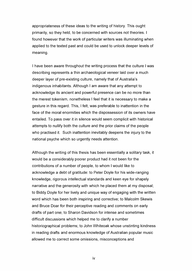appropriateness of these ideas to the writing of history. This ought primarily, so they held, to be concerned with sources not theories. <sup>I</sup> found however that the work of particular writers was illuminating when applied to the texted past and could be used to unlock deeper levels of meaning.

<sup>I</sup> have been aware throughout the writing process that the culture <sup>I</sup> was describing represents a thin archaeological veneer laid over a much deeper layer of pre-existing culture, namely that of Australia's indigenous inhabitants. Although <sup>I</sup> am aware that any attempt to acknowledge its ancient and powerful presence can be no more than the merest tokenism, nonetheless <sup>I</sup> feel that it is necessary to make a gesture in this regard. This, <sup>I</sup> felt, was preferable to inattention in the face of the moral enormities which the dispossession of its owners have entailed. To pass over it in silence would seem complicit with historical attempts to nullify both the culture and the prior claims of the people who practised it. Such inattention inevitably deepens the injury to the national psyche which so urgently needs attention.

Although the writing of this thesis has been essentially a solitary task, it would be a considerably poorer product had it not been for the contributions of a number of people, to whom <sup>I</sup> would like to acknowledge a debt of gratitude: to Peter Doyle for his wide-ranging knowledge, rigorous intellectual standards and keen eye for shapely narrative and the generosity with which he placed them at my disposal; to Biddy Doyle for her lively and unique way of engaging with the written word which has been both inspiring and corrective; to Malcolm Skewis and Bruce Doar for their perceptive reading and comments on early drafts of part one; to Sharon Davidson for intense and sometimes difficult discussions which helped me to clarify a number historiographical problems; to John Whiteoak whose unstinting kindness in reading drafts and enormous knowledge of Australian popular music allowed me to correct some omissions, misconceptions and

**IV**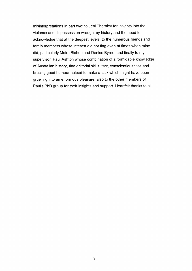misinterpretations in part two; to Jeni Thornley for insights into the violence and dispossession wrought by history and the need to acknowledge that at the deepest levels; to the numerous friends and family members whose interest did not flag even at times when mine did, particularly Moira Bishop and Denise Byrne; and finally to my supervisor, Paul Ashton whose combination of a formidable knowledge of Australian history, fine editorial skills, tact, conscientiousness and bracing good humour helped to make a task which might have been gruelling into an enormous pleasure; also to the other members of Paul's PhD group for their insights and support. Heartfelt thanks to all.